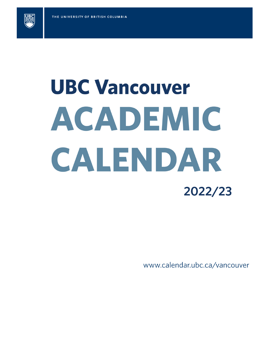

# **UBC Vancouver** ACADEMIC CALENDAR 2022/23

www.calendar.ubc.ca/vancouver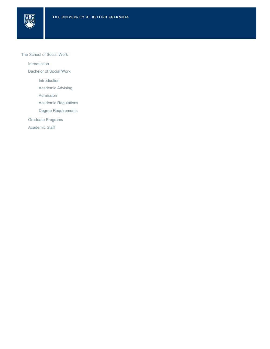

## The School of Social Work

[Introduction](#page-2-0)

[Bachelor of Social Work](#page-4-0)

[Introduction](#page-4-1)

[Academic Advising](#page-4-2)

[Admission](#page-4-3)

[Academic Regulations](#page-5-0)

[Degree Requirements](#page-5-1)

[Graduate Programs](#page-6-0)

[Academic Staff](#page-6-1)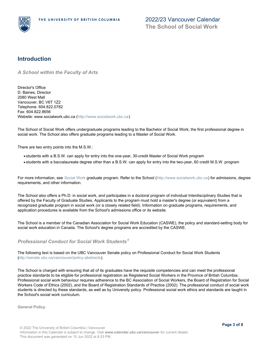

## <span id="page-2-0"></span>**Introduction**

*A School within the Faculty of Arts*

Director's Office D. Baines, Director 2080 West Mall Vancouver, BC V6T 1Z2 Telephone: 604.822.0782 Fax: 604.822.8656 Website: www.socialwork.ubc.ca [\(http://www.socialwork.ubc.ca](http://www.socialwork.ubc.ca))

The School of Social Work offers undergraduate programs leading to the Bachelor of Social Work, the first professional degree in social work. The School also offers graduate programs leading to a Master of Social Work.

There are two entry points into the M.S.W.:

- students with a B.S.W. can apply for entry into the one-year, 30-credit Master of Social Work program
- students with a baccalaureate degree other than a B.S.W. can apply for entry into the two-year, 60 credit M.S.W. program

For more information, see Social Work graduate program. Refer to the School (<http://www.socialwork.ubc.ca>) for admissions, degree requirements, and other information.

The School also offers a Ph.D. in social work, and participates in a doctoral program of individual Interdisciplinary Studies that is offered by the Faculty of Graduate Studies. Applicants to the program must hold a master's degree (or equivalent) from a recognized graduate program in social work (or a closely related field). Information on graduate programs, requirements, and application procedures is available from the School's admissions office or its website.

The School is a member of the Canadian Association for Social Work Education (CASWE), the policy and standard-setting body for social work education in Canada. The School's degree programs are accredited by the CASWE.

<span id="page-2-1"></span>*Professional Conduct for Social Work Students 1*

The following text is based on the UBC Vancouver Senate policy on Professional Conduct for Social Work Students [\(http://senate.ubc.ca/vancouver/policy-abstracts](http://senate.ubc.ca/vancouver/policy-abstracts)).

The School is charged with ensuring that all of its graduates have the requisite competencies and can meet the professional practice standards to be eligible for professional registration as Registered Social Workers in the Province of British Columbia. Professional social work behaviour requires adherence to the BC Association of Social Workers, the Board of Registration for Social Workers Code of Ethics (2002), and the Board of Registration Standards of Practice (2002). The professional conduct of social work students is directed by these standards, as well as by University policy. Professional social work ethics and standards are taught in the School's social work curriculum.

**General Policy**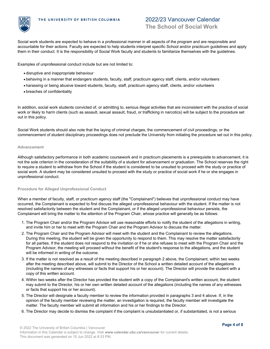

## 2022/23 Vancouver Calendar **The School of Social Work**

Social work students are expected to behave in a professional manner in all aspects of the program and are responsible and accountable for their actions. Faculty are expected to help students interpret specific School and/or practicum guidelines and apply them in their conduct. It is the responsibility of Social Work faculty and students to familiarize themselves with the guidelines.

Examples of unprofessional conduct include but are not limited to:

- disruptive and inappropriate behaviour
- behaving in a manner that endangers students, faculty, staff, practicum agency staff, clients, and/or volunteers
- harassing or being abusive toward students, faculty, staff, practicum agency staff, clients, and/or volunteers
- breaches of confidentiality

In addition, social work students convicted of, or admitting to, serious illegal activities that are inconsistent with the practice of social work or likely to harm clients (such as assault, sexual assault, fraud, or trafficking in narcotics) will be subject to the procedure set out in this policy.

Social Work students should also note that the laying of criminal charges, the commencement of civil proceedings, or the commencement of student disciplinary proceedings does not preclude the University from initiating the procedure set out in this policy.

### **Advancement**

Although satisfactory performance in both academic coursework and in practicum placements is a prerequisite to advancement, it is not the sole criterion in the consideration of the suitability of a student for advancement or graduation. The School reserves the right to require a student to withdraw from the School if the student is considered to be unsuited to proceed with the study or practice of social work. A student may be considered unsuited to proceed with the study or practice of social work if he or she engages in unprofessional conduct.

#### **Procedure for Alleged Unprofessional Conduct**

When a member of faculty, staff, or practicum agency staff (the "Complainant") believes that unprofessional conduct may have occurred, the Complainant is expected to first discuss the alleged unprofessional behaviour with the student. If the matter is not resolved satisfactorily between the student and the Complainant, or if the alleged unprofessional behaviour persists, the Complainant will bring the matter to the attention of the Program Chair, whose practice will generally be as follows:

- 1. The Program Chair and/or the Program Advisor will use reasonable efforts to notify the student of the allegations in writing, and invite him or her to meet with the Program Chair and the Program Advisor to discuss the matter.
- 2. The Program Chair and the Program Advisor will meet with the student and the Complainant to review the allegations. During this meeting, the student will be given the opportunity to respond to them. This may resolve the matter satisfactorily for all parties. If the student does not respond to the invitation or if he or she refuses to meet with the Program Chair and the Program Advisor, the meeting will proceed without the benefit of the student's response to the allegations, and the student will be informed in writing of the outcome.
- If the matter is not resolved as a result of the meeting described in paragraph 2 above, the Complainant, within two weeks 3. after the meeting described above, will submit to the Director of the School a written detailed account of the allegations (including the names of any witnesses or facts that support his or her account). The Director will provide the student with a copy of this written account.
- Within two weeks after the Director has provided the student with a copy of the Complainant's written account, the student 4. may submit to the Director, his or her own written detailed account of the allegations (including the names of any witnesses or facts that support his or her account).
- 5. The Director will designate a faculty member to review the information provided in paragraphs 3 and 4 above. If, in the opinion of the faculty member reviewing the matter, an investigation is required, the faculty member will investigate the matter. The faculty member will submit all information and his or her findings to the Director.
- 6. The Director may decide to dismiss the complaint if the complaint is unsubstantiated or, if substantiated, is not a serious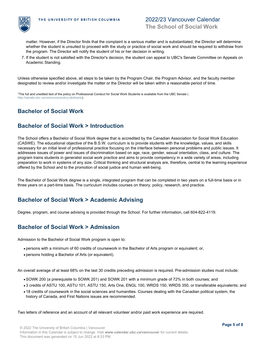

matter. However, if the Director finds that the complaint is a serious matter and is substantiated, the Director will determine whether the student is unsuited to proceed with the study or practice of social work and should be required to withdraw from the program. The Director will notify the student of his or her decision in writing.

7. If the student is not satisfied with the Director's decision, the student can appeal to UBC's Senate Committee on Appeals on Academic Standing.

Unless otherwise specified above, all steps to be taken by the Program Chair, the Program Advisor, and the faculty member designated to review and/or investigate the matter or the Director will be taken within a reasonable period of time.

<sup>1</sup>The full and unedited text of the policy on Professional Conduct for Social Work Students is available from the UBC Senate ( <http://senate.ubc.ca/vancouver/policy-abstracts>).

# <span id="page-4-0"></span>**Bachelor of Social Work**

# <span id="page-4-1"></span>**Bachelor of Social Work > Introduction**

The School offers a Bachelor of Social Work degree that is accredited by the Canadian Association for Social Work Education (CASWE). The educational objective of the B.S.W. curriculum is to provide students with the knowledge, values, and skills necessary for an initial level of professional practice focusing on the interface between personal problems and public issues. It addresses issues of power and issues of discrimination based on age, race, gender, sexual orientation, class, and culture. The program trains students in generalist social work practice and aims to provide competency in a wide variety of areas, including preparation to work in systems of any size. Critical thinking and structural analysis are, therefore, central to the learning experience offered by the School and to the promotion of social justice and human well-being.

The Bachelor of Social Work degree is a single, integrated program that can be completed in two years on a full-time basis or in three years on a part-time basis. The curriculum includes courses on theory, policy, research, and practice.

# <span id="page-4-2"></span>**Bachelor of Social Work > Academic Advising**

Degree, program, and course advising is provided through the School. For further information, call 604-822-4119.

# <span id="page-4-3"></span>**Bachelor of Social Work > Admission**

Admission to the Bachelor of Social Work program is open to:

- persons with a minimum of 60 credits of coursework in the Bachelor of Arts program or equivalent; or,
- persons holding a Bachelor of Arts (or equivalent).

An overall average of at least 68% on the last 30 credits preceding admission is required. Pre-admission studies must include:

- SOWK 200 (a prerequisite to SOWK 201) and SOWK 201 with a minimum grade of 72% in both courses; and
- 3 credits of ASTU 100, ASTU 101, ASTU 150, Arts One, ENGL 100, WRDS 150, WRDS 350, or transferable equivalents; and
- 18 credits of coursework in the social sciences and humanities. Courses dealing with the Canadian political system, the history of Canada, and First Nations issues are recommended.

Two letters of reference and an account of all relevant volunteer and/or paid work experience are required.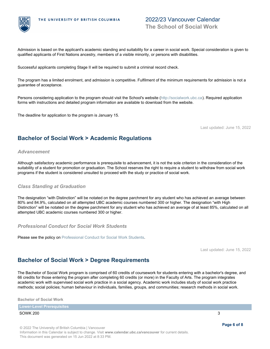

# 2022/23 Vancouver Calendar **The School of Social Work**

Admission is based on the applicant's academic standing and suitability for a career in social work. Special consideration is given to qualified applicants of First Nations ancestry, members of a visible minority, or persons with disabilities.

Successful applicants completing Stage II will be required to submit a criminal record check.

The program has a limited enrolment, and admission is competitive. Fulfilment of the minimum requirements for admission is not a guarantee of acceptance.

Persons considering application to the program should visit the School's website (<http://socialwork.ubc.ca>). Required application forms with instructions and detailed program information are available to download from the website.

The deadline for application to the program is January 15.

Last updated: June 15, 2022

# <span id="page-5-0"></span>**Bachelor of Social Work > Academic Regulations**

## *Advancement*

Although satisfactory academic performance is prerequisite to advancement, it is not the sole criterion in the consideration of the suitability of a student for promotion or graduation. The School reserves the right to require a student to withdraw from social work programs if the student is considered unsuited to proceed with the study or practice of social work.

## *Class Standing at Graduation*

The designation "with Distinction" will be notated on the degree parchment for any student who has achieved an average between 80% and 84.9%, calculated on all attempted UBC academic courses numbered 300 or higher. The designation "with High Distinction" will be notated on the degree parchment for any student who has achieved an average of at least 85%, calculated on all attempted UBC academic courses numbered 300 or higher.

*Professional Conduct for Social Work Students*

Please see the policy on [Professional Conduct for Social Work Students](#page-2-1).

Last updated: June 15, 2022

# <span id="page-5-1"></span>**Bachelor of Social Work > Degree Requirements**

The Bachelor of Social Work program is comprised of 60 credits of coursework for students entering with a bachelor's degree, and 66 credits for those entering the program after completing 60 credits (or more) in the Faculty of Arts. The program integrates academic work with supervised social work practice in a social agency. Academic work includes study of social work practice methods; social policies; human behaviour in individuals, families, groups, and communities; research methods in social work.

**Bachelor of Social Work**

**Lower-Level Prerequisites** 

### SOWK 200 3

© 2022 The University of British Columbia | Vancouver Information in this Calendar is subject to change. Visit **www.calendar.ubc.ca/vancouver** for current details. This document was generated on 15 Jun 2022 at 8:33 PM.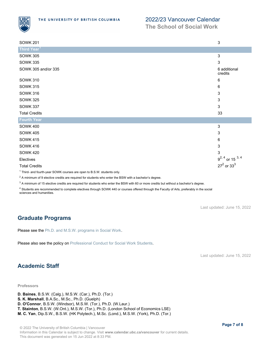

## 2022/23 Vancouver Calendar

**The School of Social Work**

| <b>SOWK 201</b>                                                                    | $\sqrt{3}$                 |
|------------------------------------------------------------------------------------|----------------------------|
| Third Year <sup>1</sup>                                                            |                            |
| <b>SOWK 305</b>                                                                    | 3                          |
| <b>SOWK 335</b>                                                                    | 3                          |
| SOWK 305 and/or 335                                                                | 6 additional<br>credits    |
| <b>SOWK 310</b>                                                                    | 6                          |
| <b>SOWK 315</b>                                                                    | 6                          |
| <b>SOWK 316</b>                                                                    | 3                          |
| <b>SOWK 325</b>                                                                    | 3                          |
| <b>SOWK 337</b>                                                                    | 3                          |
| <b>Total Credits</b>                                                               | 33                         |
| <b>Fourth Year</b>                                                                 |                            |
| <b>SOWK 400</b>                                                                    | 3                          |
| <b>SOWK 405</b>                                                                    | 3                          |
| <b>SOWK 415</b>                                                                    | 6                          |
| <b>SOWK 416</b>                                                                    | 3                          |
| <b>SOWK 420</b>                                                                    | 3                          |
| Electives                                                                          | $9^{2, 4}$ or 15 $^{3, 4}$ |
| <b>Total Credits</b>                                                               | $27^2$ or $33^3$           |
| <sup>1</sup> Third- and fourth-year SOWK courses are open to B.S.W. students only. |                            |

 $^2$  A minimum of 9 elective credits are required for students who enter the BSW with a bachelor's degree.

 $^3$  A minimum of 15 elective credits are required for students who enter the BSW with 60 or more credits but without a bachelor's degree.

<sup>4</sup> Students are recommended to complete electives through SOWK 440 or courses offered through the Faculty of Arts, preferably in the social sciences and humanities.

Last updated: June 15, 2022

# <span id="page-6-0"></span>**Graduate Programs**

Please see the Ph.D. and M.S.W. programs in Social Work.

Please also see the policy on [Professional Conduct for Social Work Students](#page-2-1).

Last updated: June 15, 2022

# <span id="page-6-1"></span>**Academic Staff**

## **Professors**

- **D. Baines**, B.S.W. (Calg.), M.S.W. (Car.), Ph.D. (Tor.) **S. K. Marshall**, B.A.Sc., M.Sc., Ph.D. (Guelph)
- **D. O'Connor**, B.S.W. (Windsor), M.S.W. (Tor.), Ph.D. (W.Laur.)
- **T. Stainton**, B.S.W. (W.Ont.), M.S.W. (Tor.), Ph.D. (London School of Economics LSE)
- **M. C. Yan**, Dip.S.W., B.S.W. (HK Polytech.), M.Sc. (Lond.), M.S.W. (York), Ph.D. (Tor.)